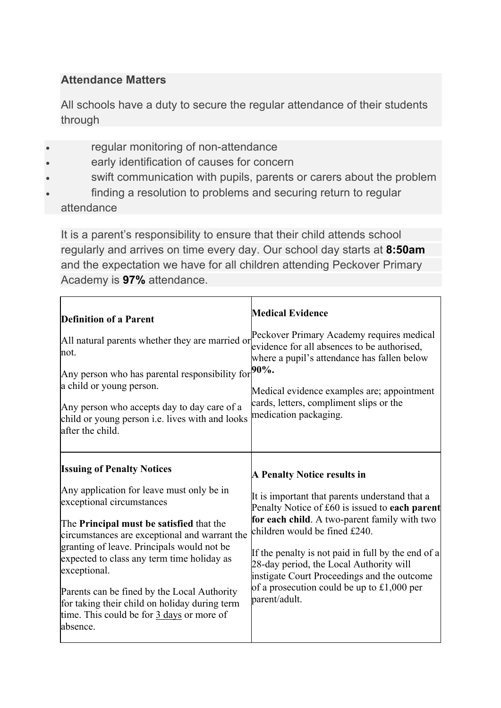## **Attendance Matters**

All schools have a duty to secure the regular attendance of their students through

- regular monitoring of non-attendance
- early identification of causes for concern
- swift communication with pupils, parents or carers about the problem
- finding a resolution to problems and securing return to regular

attendance

It is a parent's responsibility to ensure that their child attends school regularly and arrives on time every day. Our school day starts at **8:50am** and the expectation we have for all children attending Peckover Primary Academy is **97%** attendance.

| <b>Definition of a Parent</b><br>All natural parents whether they are married or<br>not.<br>Any person who has parental responsibility for $90\%$ .<br>a child or young person.<br>Any person who accepts day to day care of a<br>child or young person i.e. lives with and looks<br>after the child.                                                                                                                                                                                | <b>Medical Evidence</b><br>Peckover Primary Academy requires medical<br>evidence for all absences to be authorised,<br>where a pupil's attendance has fallen below<br>Medical evidence examples are; appointment<br>cards, letters, compliment slips or the<br>medication packaging.                                                                                                                                                   |
|--------------------------------------------------------------------------------------------------------------------------------------------------------------------------------------------------------------------------------------------------------------------------------------------------------------------------------------------------------------------------------------------------------------------------------------------------------------------------------------|----------------------------------------------------------------------------------------------------------------------------------------------------------------------------------------------------------------------------------------------------------------------------------------------------------------------------------------------------------------------------------------------------------------------------------------|
| <b>Issuing of Penalty Notices</b><br>Any application for leave must only be in<br>exceptional circumstances<br>The <b>Principal must be satisfied</b> that the<br>circumstances are exceptional and warrant the<br>granting of leave. Principals would not be<br>expected to class any term time holiday as<br>exceptional.<br>Parents can be fined by the Local Authority<br>for taking their child on holiday during term<br>time. This could be for 3 days or more of<br>absence. | <b>A Penalty Notice results in</b><br>It is important that parents understand that a<br>Penalty Notice of £60 is issued to each parent<br>for each child. A two-parent family with two<br>children would be fined £240.<br>If the penalty is not paid in full by the end of a<br>28-day period, the Local Authority will<br>instigate Court Proceedings and the outcome<br>of a prosecution could be up to £1,000 per<br>parent/adult. |